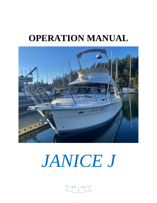# **OPERATION MANUAL**



# *JANICE J*

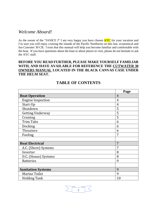# *Welcome Aboard!*

As the owner of the "JANICE J" I am very happy you have chosen **AYC** for your vacation and I'm sure you will enjoy cruising the islands of the Pacific Northwest on this fast, economical and fun Cutwater 30 CB. I trust that this manual will help you become familiar and comfortable with the boat. If you have questions about the boat or about places to visit, please do not hesitate to ask the AYC staff.

# **BEFORE YOU READ FURTHER, PLEASE MAKE YOURSELF FAMILIAR WITH, AND HAVE AVAILABLE FOR REFERENCE THE CUTWATER 30 OWNERS MANUAL LOCATED IN THE BLACK CANVAS CASE UNDER THE HELM SEAT.**

|                           | Page           |
|---------------------------|----------------|
| <b>Boat Operation</b>     | $\overline{4}$ |
| <b>Engine Inspection</b>  | $\overline{4}$ |
| Start-Up                  | $\overline{4}$ |
| Shutdown                  | 5              |
| <b>Getting Underway</b>   | 5              |
| Cruising                  | 5              |
| <b>Trim Tabs</b>          | 6              |
| Docking                   | 6              |
| Thrusters                 | 6              |
| Fueling                   | 7              |
|                           |                |
| <b>Boat Electrical</b>    | 7              |
| A.C. (Shore) Systems      | 7              |
| Inverter                  | 8              |
| D.C. (House) Systems      | 8              |
| <b>Batteries</b>          | 9              |
|                           |                |
| <b>Sanitation Systems</b> | 9              |
| <b>Marine Toilet</b>      | 9              |
| <b>Holding Tank</b>       | 10             |

# **TABLE OF CONTENTS**

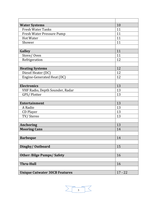| <b>Water Systems</b>                 | 10        |
|--------------------------------------|-----------|
| <b>Fresh Water Tanks</b>             | 11        |
| Fresh Water Pressure Pump            | 11        |
| <b>Hot Water</b>                     | 11        |
| Shower                               | 11        |
|                                      |           |
| Galley                               | 11        |
| Stove/Oven                           | 11        |
| Refrigeration                        | 12        |
|                                      |           |
| <b>Heating Systems</b>               | 12        |
| Diesel Heater (DC)                   | 12        |
| Engine-Generated Heat (DC)           | 12        |
|                                      |           |
| <b>Electronics</b>                   | 13        |
| VHF Radio, Depth Sounder, Radar      | 13        |
| GPS/Plotter                          | 13        |
|                                      |           |
| Entertainment                        | 13        |
| A Radio                              | 13        |
| CD Player                            | 13        |
| TV/Stereo                            | 13        |
|                                      |           |
| <b>Anchoring</b>                     | 13        |
| <b>Mooring Cans</b>                  | 14        |
|                                      |           |
| <b>Barbeque</b>                      | 14        |
|                                      |           |
| Dinghy/Outboard                      | 15        |
|                                      |           |
| <b>Other: Bilge Pumps/Safety</b>     | 16        |
|                                      |           |
| <b>Thru-Hull</b>                     | 16        |
|                                      |           |
| <b>Unique Cutwater 30CB Features</b> | $17 - 22$ |

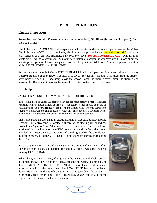# **BOAT OPERATION**

## **Engine Inspection**

Remember your "**WOBBS"** every morning: **W**ater (Coolant), **O**il, **B**ilges (Inspect and Pump-out), **B**elts and **S**ea Strainer.

Check the level of COOLANT in the expansion tanks located in the far forward port corner of the Volvo. Check the level of OIL in each engine by checking your dipsticks located port side forward. Look at the etch marks on each dipstick that indicate the proper oil level. **DO NOT OVERFILL OIL!** Only fill if oil levels are below the ½ way mark. Ask your fleet captain at checkout if you have any questions about the markings on dipsticks. Please use a paper towel or oil rag, not the dish towels! Check the general condition of the BELTS, HOSES, and FUEL LINES.

Ensure the valve on each RAW WATER THRU-HULL is in the '**open**' position (lever in-line with valve). Observe the glass of each RAW WATER STRAINER for debris. Shining a flashlight thru the strainer often helps see debris. If necessary, close the seacock, open the strainer cover, clean the strainer, and reassemble. Remember to reopen the seacock. Confirm water flow from exhaust.

# **Start-Up**

#### JANICE J IS A SINGLE SCREW W/ BOW AND STERN THRUSTERS

In the cockpit locker under the cockpit helm are the main battery switches arranged vertically with the house battery at the top. That battery switch should be in the on position when you board. (If not please inform the fleet captain.) Prior to starting the engine you must turn the engine battery switch on. The bottom two switches are for the bow and stern thrusters and should also be turned on prior to start up.

The Volvo Penta D6 diesel has an electronic ignition that utilizes a key fob and a panel. The Volvo panel is located outboard of the steering wheel and has two buttons: "ignition" and "start/stop". Hold the key fob in front of the lower portion of the panel to unlock the EVC system. A sound confirms the system is unlocked. After the system is activated a red light below the throttle will indicate as much. Press the START/STOP button for both starting and shutting the engine.

Note that the THROTTLE and GEARSHIFT are combined into one shifter. The photo on the right also illustrates the options available while the engine is running IN NEUTRAL.

When changing helm stations, after going to the new station, the helm person must press the STATION button to activate that helm. Again, this can only be done in NEUTRAL. The CRUISE CONTROL button locks the throttle and must be turned off when not using. The LOW SPEED button is similar to downshifting a car in that it tells the transmission to gear down the engine. It is primarily used for trolling. The THROTTLE ONLY button allows the engine rpm's to be increased while in neutral.





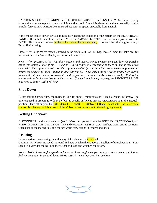CAUTION SHOULD BE TAKEN: the THROTTLE/GEARSHIFT is SENSITIVE!! Go Easy. It only takes a slight nudge to put it in gear and initiate idle speed. Since it is electronic and not manually moving a cable, force is NOT NEEDED to make adjustments in speed, especially from neutral.

If the engine cranks slowly or fails to turn over, check the condition of the battery on the ELECTRICAL PANEL. If the battery is low, try the BATTERY PARALLEL SWITCH or turn main power switch to BOTH. This switch is located in the locker below the outside helm, to connect the other engine battery. Turn off after using.

Please refer to the Volvo manual, stowed in the black CUTWATER bag, located under the helm seat for information on the Volvo Display and information options.

Note -- If oil pressure is low, shut down engine, and inspect engine compartment and look for possible cause (for example, loss of oil.) Caution -- If an engine is overheating or there is lack of raw water *expelled in the engine exhaust, stop the engine immediately. Recheck the raw water-cooling system to ensure the seacock is* '*open* '*(handle in-line with valve). Next, check the raw water strainer for debris. Remove the strainer, clean, re-assemble, and reopen the raw water intake valve (seacock). Restart the engine and re-check water flow from the exhaust. If water is not flowing properly, the RAW WATER PUMP may need to be serviced. Seek help.*

# **Shut-Down**

Before shutting down, allow the engine to 'idle 'for about 5 minutes to cool it gradually and uniformly. The time engaged in preparing to dock the boat is usually sufficient. Ensure GEARSHIFT is in the 'neutral ' position. Turn off engines by **PRESSING THE START/STOP SWITCH** and deactivate the electronic controls by placing the fob in front of the Volvo start/stop panel until the red light goes out.

# **Getting Underway**

DISCONNECT the shore power cord (see 110-Volt next page). Close the PORTHOLES, WINDOWS, and FORWARD HATCH. Turn on your VHF and electronics. ASSIGN crew members their various positions. Once outside the marina, idle the engines while crew brings in fenders and lines.

# **Cruising**

Close quarters maneuvering should always take place at the *inside* helm.

Optimum MAX cruising speed is around 18 knots which will use about 1.5 gallons of diesel per hour. Your speed will vary depending upon the weight and load and weather conditions.

*Note -- Avoid higher engine speeds as it causes higher engine temperature, possible damage, and higher fuel consumption. In general, lower RPMs result in much improved fuel economy.*

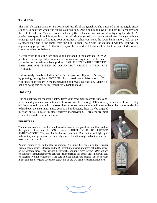#### **TRIM TABS**

The trim tab toggle switches are positioned just aft of the gearshift. The outboard trim tab toggle sticks slightly, so be aware when fine tuning your position. And fine tuning pays off in both fuel economy and the feel of the helm. You will notice that a slightly off balance trim will result in fighting the wheel. As you increase speed from idle adjust both trim tabs simultaneously to bring the bow down. Once you achieve cruising speed begin to fine-tune your adjustment. When you are at the lower helm station, look out the starboard side and if the spray from the hull is about even with the starboard window you will be approaching proper trim. At that time, adjust the individual tabs to level the boat port and starboard and check the wheel for balance.

As you return to idle the tabs should be positioned in the complete BOW UP position. This is especially important when maneuvering in reverse because it raises the the trim tabs to a level position. FAILURE TO ENSURE THE TRIM TABS ARE POSITIONED TO DO SO MAY RESULT IN TRIM TAB DAMAGE.

Unfortunately there is no indicator for trim tab position. If you aren't sure, start by pressing the toggles to BOW UP , for approximately 8-10 seconds. That will insure that you are in the maneuvering and reversing position. Make it a habit of doing this every time you throttle back to an idle!



### **Docking**

During docking, use the inside helm. Have your crew make ready the lines and

fenders and give clear instructions on how you will be docking. Often times your crew will need to step off from the swim step with the stern line. Another crew member will need to be at the bow or mid-ships

to hand over the next lines. Since your boat has thrusters, these may be engaged in short bursts to assist in close quarters maneuvering. Thrusters are most efficient when the boat is in neutral.

#### **THRUSTERS**

The thruster joystick controllers are located forward of the gearshift. As illustrated by the photo, there are 2 "ON" buttons. THESE MUST BE PRESSED SIMULTANEOUSLY in order for the thrusters to operate. Both buttons will light up to indicate they are operational, but they only stay on for a limited period of time and then have to be reactivated.

Another option is to use the thruster remote. You must first switch on the Thruster Remote toggle which is located on the DC distribution panel, mounted behind the wheel on the outboard side. Then, as with the joysticks, you must press the two "ON" buttons on the remote simultaneously to activate. The benefit to this is that the remote will stay on indefinitely until switched off. Be sure to place the lanyard around your neck when in use and don't forget to switch the toggle off on the DC panel when shutting down.





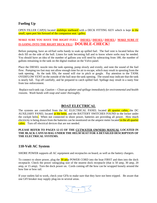# **Fueling Up**

OPEN FILLER CAP(S) located midships starboard with a DECK FITTING KEY which is kept in the small, open port bin forward of the companion seat / galley.

# **MAKE SURE YOU HAVE THE RIGHT FUEL! DIESEL! DIESEL! DIESEL! MAKE SURE IT IS GOING INTO THE RIGHT DECK FILL! DOUBLE-CHECK!**

Before pumping, have an oil/fuel sorbs handy to soak up spilled fuel. The fuel vent is located below the deck fill on the side of the hull. Listen for tank becoming full and to know where sorbs may be needed. You should have an idea of the number of gallons you will need by subtracting from 180, the number of gallons remaining in the tank on the digital readout on the Volvo panel.

Place the DIESEL nozzle into the tank opening, pump slowly and evenly, and note the sound of the fuel flow. Pumping too fast may not allow enough time for air to escape, which may result in spouting from the tank opening. As the tank fills, the sound will rise in pitch or gurgle. Pay attention to the TANK OVERFLOW VENT on the outside of the hull near the tank opening. The sound may indicate that the tank is nearly full. Top off carefully, and be prepared to catch spilled fuel. Spillage may result in a nasty fine from law enforcement.

Replace each tank cap. *Caution -- Clean up splatter and spillage immediately for environmental and health reasons. Wash hands with soap and water thoroughly.*

# **BOAT ELECTRICAL**

The systems are controlled from the AC ELECTRICAL PANEL located aft quarter cabin, the DC AUXILIARY PANEL located at the helm, and the BATTERY SWITCHES FOUND in the locker under the cockpit helm. When not connected to shore power, batteries are providing all power. How much electricity is being drawn from the batteries can be monitored on the ampere meter located in the aft quarter cabin. Turn off electrical devices that are not needed.

#### **PLEASE REFER TO PAGES 12-15 OF THE CUTWATER OWNERS MANUAL LOCATED IN THE BLACK CANVAS BAG UNDER THE HELM SEAT FOR A DETAILED DESCRIPTION OF THE ELECTRICAL SYSTEMS.**

# **110-Volt AC System**

SHORE POWER supports all AC equipment and receptacles on board, as well as the battery chargers.

To connect to shore power, plug the 30 amp POWER CORD into the boat FIRST and then into the dock receptacle. Check the power rating/plug size of the nearest dock receptacle (that is 50 amp, 30 amp, 20 amp, or 15 amp). Turn the dock power on. Cords coming off the bow can be wrapped loosely around the bow line or bow rail.

If your outlets fail to work, check your GFIs to make sure that they have not been tripped. Be aware that one GFI breaker may supply plug-ins in several areas.

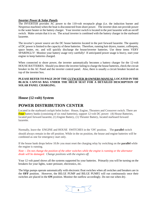#### *Inverter Power & Solar Panels*

The INVERTER provides AC power to the 110-volt receptacle plugs (i.e. the induction burner and Nespresso machine) when the boat is disconnected from shore power. The inverter does not provide power to the water heater or the battery charger. Your inverter switch is located in the port lazarette with an on/off switch. Make certain that it is on. The actual inverter is combined with the battery charger in the starboard lazarette.

The inverter's power source are the DC house batteries located in the port forward lazarette. The quantity of DC power is limited to the capacity of these batteries. Therefore, running hair dryers, toaster, coffeepots, space heater, etc. and will quickly discharge the house/inverter batteries. Use these items VERY SPARINGLY! Monitor your battery usage very carefully! If anticipated power usage is heavy, start your engine to keep batteries charged.

When connected to shore power, the inverter automatically becomes a battery charger for the 12-volt HOUSE BATTERIES. Should you detect the inverter failing to charge the house batteries, check the circuit breaker in the AC Panel and the inverter control panel. Also, there is usually a circuit breaker located on top of the inverter box.

#### **PLEASE REFER TO PAGE 20 OF THE CUTWATER 30 OWNERS MANUAL LOCATED IN THE BLACK CANVAS BAG UNDER THE HELM SEAT FOR A DETAILED DESCRIPTION OF SOLAR PANEL CHARGING.**

# **House (12-volt) System**

# **POWER DISTRIBUTION CENTER**

Located in the starboard cockpit helm locker: House, Engine, Thrusters and Crossover switch. There are **Four** battery banks (consisting of six total batteries), support 12-volt DC power: (4) House Batteries, located port forward lazarette, (1) Engine Battery, (1) Thruster Battery, located starboard forward lazarette.

Normally, leave the ENGINE and HOUSE SWITCHES in the 'ON' position. The **parallel** switch should always remain in the off position. While in the on position, the house and engine batteries will be combined as one for emergency start only.

If the house bank drops below 10.8v you must reset the charging relay by switching on the **parallel** while the engine is running.

Note -- Do not change the position of the other switches while the engine is running or the alternator *diode will be damaged. Change positions with the engines off.*

Your 12 volt panel shows all the systems supported by your batteries. Primarily you will be turning on the breakers for your lights, water pressure, electronics, etc.

The bilge pumps operate automatically with electronic float switches when all switches and breakers are in the **OFF** position. However, the BILGE PUMP and BILGE PUMP2 will run continuously once their switches are placed in the **ON** position. Monitor the outflow accordingly. Do not run when dry.

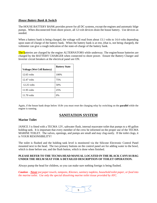#### *House Battery Bank & Switch*

The HOUSE BATTERY BANK provides power for all DC systems, except the engines and automatic bilge pumps. When disconnected from shore power, all 12-volt devices drain the house battery. Use devices as needed.

When a battery bank is being charged, the voltage will read from about 13.1 volts to 14.4 volts depending upon state-of-charge of the battery bank. When the battery bank is at rest, (that is, not being charged), the voltmeter can give a rough indication of the state-of-charge of the battery bank.

The batteries are charged by the engine ALTERNATORS while underway. The engine/house batteries are charged by the BATTERY CHARGER when connected to shore power. Ensure the Battery Charger and Inverter circuit breakers at the electrical panel are ON.

| <b>Voltage (Wet Cell Battery)</b> | <b>Battery State</b> |
|-----------------------------------|----------------------|
| $12.65$ volts                     | 100%                 |
| 12.47 volts                       | 75%                  |
| $12.25$ volts                     | 50%                  |
| 11.95 volts                       | 25%                  |
| $11.70$ volts                     | $0\%$                |

Again, if the house bank drops below 10.8v you must reset the charging relay by switching on the **parallel** while the engine is running.**A FUSE BLOCK BREAKER**

# **SANITATION SYSTEM**

#### **Marine Toilet**

JANICE J is fitted with a TECMA 12V, saltwater flush, internal macerater toilet that pumps to a 40 gallon holding tank. It is important that every member of the crew be informed on the proper use of the TECMA MARINE TOILET. The valves, openings, and pumps are small and may clog easily. If the toilet clogs, it is YOUR RESONSIBILITY!

The toilet is flushed and the holding tank level is monitored via the Silicone Electronic Control Panel mounted next to the head. The two primary buttons on the control panel are for adding water to the bowl, which is done before use, and the flush button, which is done when finished.

#### **PLEASE REFER TO THE TECMA HEAD MANUAL LOCATED IN THE BLACK CANVAS BAG UNDER THE HELM SEAT FOR A DETAILED DESCRIPTION OF TOILET OPERATION.**

Always pump the head for children, so you can make sure nothing foreign is being flushed.

*Caution – Never put paper towels, tampons, Kleenex, sanitary napkins, household toilet paper, or food into the marine toilet. Use only the special dissolving marine toilet tissue provided by AYC.*

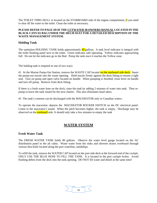The TOILET THRU-HULL is located on the STARBOARD side of the engine compartment, if you need to shut off the water to the toilet. Clean the toilet as necessary.

#### **PLEASE REFER TO PAGE 28 OF THE CUTWATER 30 OWNERS MANUAL LOCATED IN THE BLACK CANVAS BAG UNDER THE HELM SEAT FOR A DETAILED DESCRIPTION OF THE WASTE MANAGEMENT SYSTEM.**

#### **Holding Tank**

The sanitation HOLDING TANK holds approximately  $40$  gallons. A tank level indicator is integral with the toilet flushing panel next to the toilet. Green indicates safe operating. Yellow indicates approaching full. Do not let the indicator go to the Red. Pump the tank once it reaches the Yellow zone.

The holding tank is emptied in one of two ways:

#1 At the Marine Pump-Out Station, remove the WASTE CAP located on the starboard side deck. Insert the pump-out nozzle into the waste opening. Hold nozzle firmly against the deck fitting to ensure a tight seal. Turn on pump and open valve located on handle. When pumping is finished, close lever on handle and turn off pump. Remove from deck fitting.

If there is a fresh water hose on the dock, rinse the tank by adding 2 minutes of water into tank. Then repump to leave the tank rinsed for the next charter. This also eliminates head odors.

#2 The tank's contents can be discharged with the MACERATOR only in Canadian waters.

To operate the macerator, depress the MACERATOR ROCKER SWITCH on the DC electrical panel. Listen to the macerator's sound. When the pitch becomes higher, the tank is empty. Discharge may be observed on the **starboard** side. It should only take a few minutes to empty the tank

# **WATER SYSTEM**

#### **Fresh Water Tank**

The FRESH WATER TANK holds 80 gallons. Observe the water level gauge located on the AC distribution panel in the aft cabin. Waste water from the sinks and showers drains overboard through various thru-hulls located along the port waterline, amidships.

To refill the tank, remove the WATER CAP located on the port side deck at the forward end of the cockpit. ONLY USE THE BLUE HOSE TO FILL THE TANK. It is located in the port cockpit locker. Avoid flushing debris from the deck into the tank opening. DO NOT fill water and diesel at the same time!

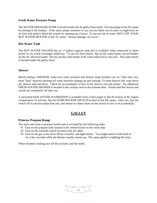#### **Fresh Water Pressure Pump**

The WATER PRESSURE PUMP is located under the aft galley floor hatch. Activate pump at the DC panel by turning on the breaker. If the water pump continues to run, you are either out of water or might have an air lock and need to bleed the system by opening up a faucet. If you run out of water SHUT OFF YOUR HOT WATER HEATER on the AC panel. Serious damage can occur!

#### **Hot Water Tank**

The HOT WATER HEATER has an 11 gallon capacity tank and is available when connected to shore power or via a heat exchanger underway. To use on shore power, flip on the water heater circuit breaker on the AC electrical panel. Do not use the water heater if the water tank level is very low. The water heater is located under the galley stove.

#### **Shower**

Before taking a SHOWER, make sure water pressure and shower sump breakers are on. Take only very short "boat" showers (turning off water between soaping up and rinsing). To keep shower tidy wipe down the shower stall and floor. Check for accumulation of hair in the shower and sink drains. An additional FRESH WATER SHOWER is located in the cockpit, next to the transom door. Ensure that the faucets and nozzle are completely off after use.

A pressured RAW WATER WASHDOWN is available from a hose spigot in the aft section of the engine compartment To activate, flip the PUMP ROCKER SWITCH located on the DC panel. After use, turn the switch off to prevent pump burn out, and ensure no object leans on the switch to turn it on accidentally.

# **GALLEY**

#### **Princess Propane Range**

The stove and oven is propane fueled and is activated by the following steps:

- #1 Turn on the propane tank located in the vented locker on the swim step.
- #2 Turn on the solenoid switch located in the aft cabin.
- #3 Turn on the gas at the stove (Press in knob) and light burner. You might need to hold knob in for a few seconds while the thermo coupler warms up. The same applies to lighting the oven.

When finished cooking turn off the switches and the bottle.

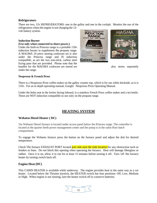#### **Refrigerators**

There are two, 12v REFRIGERATORS: one in the galley and one in the cockpit. Monitor the use of the refrigerators when the engine is not charging the 12-

volt battery system.

#### **Induction Burner**

#### **(Use only when connected to shore power.)**

Under the built-in Princess range is a portable 110v induction burner to supplement the propane range. A MAGMA 10 piece nesting cookware set is also under the Princess range and IS induction compatible, as are the two non-stick, carbon steel frying pans that are provided. Please note that the handles for the MAGMA cookware are stored are also stores separately under the range.



#### **Nespresso & French Press**

There is a Nespresso Pixie coffee maker on the galley counter top, which is for use while dockside, as it is 110v. For an in depth operating manual, Google: Nespresso Pixie Operating Manual.

Under the helm seat in the locker facing inboard, is a stainless French Press coffee maker and a tea kettle. These are NOT induction compatible so use only on the propane range.

# **HEATING SYSTEM**

#### **Webatso Diesel Heater ( DC)**

The Webasto Diesel furnace is located under access panel below the Princess range. The controller is located at the quarter berth power management center and the pump is in the salon floor hatch compartment.

To engage the Webasto furnace press the button on the furnace panel and adjust the dial for desired temperature.

Check The furnace EXHAUST PORT located port side near the sink location for any obstruction such as fenders or lines. Do not block this opening when operating the furnace. Heat will damage fiberglass or rubber. Once it is on, allow it to run for at least 15 minutes before turning it off. Turn 'off 'the furnace heater by turning switch back off.

#### **Engine Heat (DC)**

This CABIN HEATER is available while underway. The engine provides heat in the same way as a car heater. Located below the Thruster joystick, the HEATER switch has four positions: Off, Low, Medium or High. When engine is not running, turn the heater switch off to conserve batteries.

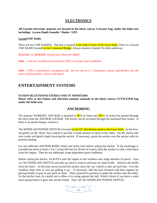# **ELECTRONICS**

**All Garmin electronic manuals are located in the black canvas Cutwater bag, under the helm seat including: Garmin Depth Sounder / Radar / GPS**

#### **GarminVHF Radio**

There are two VHF RADIOS. The first is located at the dash in front of the lower helm. There is a second VHF RADIO located on the Command Bridge. Always monitor channel 16 while underway.

*Remember to ALWAYS consult your charts for depth!* 

*Note — You are not allowed to travel in FOG or serious wind conditions.*

*Note -- GPS is considered a navigation aid. Do not rely on it. Compasses, charts, and dividers are the tools to plot position, course, and speed.*

# **ENTERTAINMENT SYSTEMS**

#### **FUSION BLUETOOTH STEREO AND TV MONITORS**

**Please refer to the Fusion and television monitor manuals in the black canvas CUTWATER bag under the helm seat.**

# **ANCHORING**

The primary WORKING ANCHOR is attached to  $\frac{50}{10}$  ft of chain and  $\frac{250}{10}$  ft of nylon line passed through the deck from the ANCHOR LOCKER The locker can be accessed through the starboard bow locker. If there is an anchor keeper, release it.

The WINDLASS POWER SWITCH is located on the DC distribution panel at the lower helm. At the bow, tap gently on the 'down 'foot control to provide a small amount of slack in the chain. Tip the anchor just over center and gently begin lowering the anchor. If necessary, guide the anchor over the anchor roller to prevent binding.

Let out sufficient ANCHOR RODE (chain and nylon line) before setting the anchor. If the anchorage is crowded put down at least a 3 to 1 scope (60 feet for 20 feet of water), back the anchor in with a short burst from the engine. Then let out additional scope dependent upon conditions.

Before raising the anchor, ALWAYS start the engine as the windlass uses large amounts of power. Turn 'on 'the WINDLASS SWITCH and take up slack to remove pressure on chain bridle. Remove the bridle from the chain. As the boat moves toward the anchor, press the 'up 'control to take up slack line. Give the windlass short rests as you are pulling it up. If necessary, idle the boat forward with then engines by placing briefly in gear to put slack in chain. Place yourself in position to guide the anchor onto the roller. As the anchor rises, be careful not to allow it to swing against the hull. Wash it down if you have a wash down pump before it goes into anchor locker. Turn 'off 'the WINDLASS POWER SWITCH.

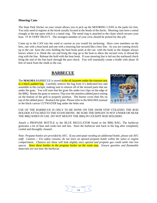#### **Mooring Cans**

The State Park Sticker on your vessel allows you to pick up the MOORING CANS in the parks for free. You only need to register at the kiosk usually located at the heads of the docks. Mooring cans have a metal triangle at the top upon which is a metal ring. The metal ring is attached to the chain which secures your boat. IT IS VERY HEAVY. The strongest member of your crew should be picked for this job.

Come up to the CAN into the wind or current as you would for anchoring. Have crew members on the bow, one with a boat hook and one with a mooring line secured like a bow line. As you are coming slowly up to the can have the crew holding the boat hook point at the can with the hook so the skipper always knows where it is. Hook the can and bring the ring up to the boat to allow the second crew to thread the ring with the line. Release the hold with the boat hook. If your mooring line is led out the starboard chock bring the end of the line back through the port chock. You will essentially create a bridle with about 10 feet of slack from the chalk to the can.

# **BARBECUE**

The **MAGMA** BARBECUE is stored in the aft lazarette under the transom seat in a black padded bag. Carefully remove the bag from it's dedicated box and assemble in the cockpit, making sure to remove all of the stowed parts that are under the grate. You will note that the grate fits under two clips on the edge of the BBQ. Rotate the grate to remove. Flip over the stainless tabbed piece resting on the bottom of the grill to properly position. The burner cover then fits on top of the tabbed piece. Reattach the grate. Please refer to the MAGMA manual in the black canvas CUTWATER bag under the helm seat.



USE OF THE BARBECUE IS ONLY TO BE DONE ON THE SWIM STEP UTILIZING THE ROD HOLDER ATTACHED TO THE STANCHIONS. BE SURE THE DINGHY IS NOT UNDER OR NEAR THE BBQ WHEN IN USE. DO NOT MOUNT THE BBQ IN COCKPIT ROD HOLDERS.

Attach a PROPANE BOTTLE to the BLUE REGULATOR found in the BBQ BAG. The barbecue generates a lot of heat and cooks hot and fast. Store the barbecue unit back in the bag after completely cooled and throughly cleaned .

*Note: Propane bottles are provided by AYC. If you anticipate needing an additional bottle, please ask AYC staff. Caution -- For safety reasons, do not store an opened propane bottle within the salon or engine compartment. Chances are these will leak slightly once opened and propane gas could settle into low spaces. Store these bottles in the propane locker on the swim step. Ensure gasoline and flammable materials are not near the barbecue.*

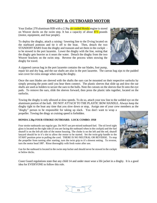# **DINGHY & OUTBOARD MOTOR**

Your Zodiac 270 aluminum RIB with a 2.3hp air cooled Honda engine is stored on Weaver davits on the swim step. It has a capacity of about  $\frac{873}{873}$  pounds (motor, equipment, and four people).

To deploy the dinghy, attach a raising / lowering line to the D-ring located on the starboard pontoon and tie it off to the boat. Then, detach the two STANDOFF BARS from the dinghy and transom and set them in the cockpit to be stowed in the port lazarette. Lower the dinghy with the line, noting that the dinghy gets heavier as it nears the water. Detach the dinghy from the two Weaver brackets on the swim step. Reverse the process when stowing the dinghy for travel.



A zippered canvas bag in the port lazarette contains the oar blades, foot pump, repair kit and dry bag, and the oar shafts are also in the port lazarette. The canvas bag zips to the padded seat cover for extra storage when using the dinghy.

Once the oars blades are sleeved with the shafts the oars can be mounted on their respective oarlocks by simply pressing the posts until you hear them connect. The plastic sleeves that slide up and dow the oar shafts are used as holders to secure the oars to the hulls. Note the cutouts on the sleeves that fit onto the eye pads. To remove the oars, slide the sleeves forward, then press the plastic tabs together, located on the oarlocks.

Towing the dinghy is only allowed at slow speeds. To do so, attach your tow line to the welded eye on the aluminum portion of the hull. DO NOT ATTACH TO THE PLASTIC BOW HANDLE. Always keep the dinghy tight to the boat any time that you slow down or stop, Assign one of your crew members as the

"dinghy" person to be responsible for taking up slack. You don't want to wrap a propeller. Towing the dingy at cruising speed is forbidden.

#### **HONDA 2.3hp FOUR STROKE OUTBOARD. LOCK COMBO: 1950**

Four stroke outboards use regular gas. Do NOT use pre-mixed outboard fuel. The oil level sight glass is located on the right side (if you are facing the outboard when in the cockpit) and the fuel shutoff is on the left-aft side of the motor housing. The choke is on the left and the red, shutoff lanyard should be in it's slot to allow the motor to be started. Set the twist-grip handle to the START position prior to pulling the cord. THERE IS NO NEUTRAL OR REVERSE. To stop the propeller from turning after starting, turn the twist grip to it's slowest setting. To reverse, turn the motor head 180º. Rinse thoroughly with fresh water after use.

Gas for the outboard is located in the swim step locker and should never be stowed in the cockpit or below decks.

Coast Guard regulations state that any child 14 and under must wear a life jacket in a dinghy. It is a good idea for EVERYONE to follow this rule.

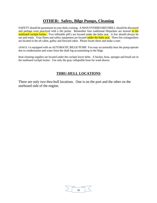# **OTHER: Safety, Bilge Pumps, Cleaning**

SAFETY should be paramount in your daily cruising. A MAN OVERBOARD DRILL should be discussed and perhaps even practiced with a life jacket. Remember four traditional lifejackets are stowed in the starboard cockpit locker. Two inflatable pfd's are located under the helm seat. A few should always be out and ready. Your flares and safety equipment are located under the helm seat. Three fire extinguishers are located in the aft cabin, galley and forward cabin. Please locate these and make a note.

JANICE J is equipped with an AUTOMATIC BILGE PUMP. You may occasionally hear the pump operate due to condensation and water from the shaft log accumulating in the bilge.

Boat cleaning supplies are located under the cockpit lower helm. A bucket, hose, sponges and brush are in the starboard cockpit locker. Use only the gray collapsible hose for wash downs.

# **THRU-HULL LOCATIONS**

There are only two thru-hull locations. One is on the port and the other on the starboard side of the engine.

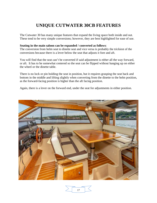# **UNIQUE CUTWATER 30CB FEATURES**

The Cutwater 30 has many unique features that expand the living space both inside and out. These tend to be very simple conversions; however, they are best highlighted for ease of use.

#### **Seating in the main saloon can be expanded / converted as follows**:

The conversion from helm seat to dinette seat and vice versa is probably the trickiest of the conversions because there is a lever below the seat that adjusts it fore and aft.

You will find that the seat can't be converted if said adjustment is either all the way forward, or aft. It has to be somewhat centered so the seat can be flipped without hanging up on either the wheel or the dinette table.

There is no lock or pin holding the seat in position, but it requires grasping the seat back and bottom in the middle and lifting slightly when converting from the dinette to the helm position, as the forward-facing position is higher than the aft facing position.

Again, there is a lever on the forward end, under the seat for adjustments in either position.



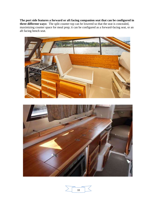**The port side features a forward or aft facing companion seat that can be configured in three different ways:** The split counter top can be lowered so that the seat is concealed, maximizing counter space for meal prep; it can be configured as a forward-facing seat, or an aft facing bench seat.





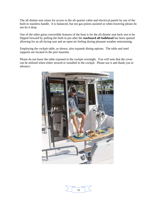The aft dinette seat raises for access to the aft quarter cabin and electrical panels by use of the built-in stainless handle. It is balanced, but not gas-piston assisted so when lowering please do not let it drop.

One of the other great convertible features of the boat is for the aft dinette seat back rest to be flipped forward by pulling the built-in pin after the **starboard aft bulkhead** has been opened allowing for an aft-facing seat and an open-air feeling during pleasant weather entertaining.

Employing the cockpit table, as shown, also expands dining options. The table and steel supports are located in the port lazarette.

Please do not leave the table exposed in the cockpit overnight. You will note that the cover can be utilized when either stowed or installed in the cockpit. Please use it and thank you in advance.



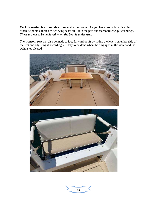**Cockpit seating is expandable in several other ways**. As you have probably noticed in brochure photos, there are two wing seats built into the port and starboard cockpit coamings. *These are not to be deployed when the boat is under way*.

The **transom seat** can also be made to face forward or aft by lifting the levers on either side of the seat and adjusting it accordingly. Only to be done when the dinghy is in the water and the swim step cleared.





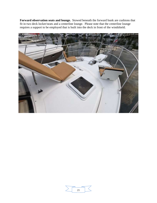**Forward observation seats and lounge.** Stowed beneath the forward bunk are cushions that fit in two deck locker/seats and a centerline lounge. Please note that the centerline lounge requires a support to be employed that is built into the deck in front of the windshield.